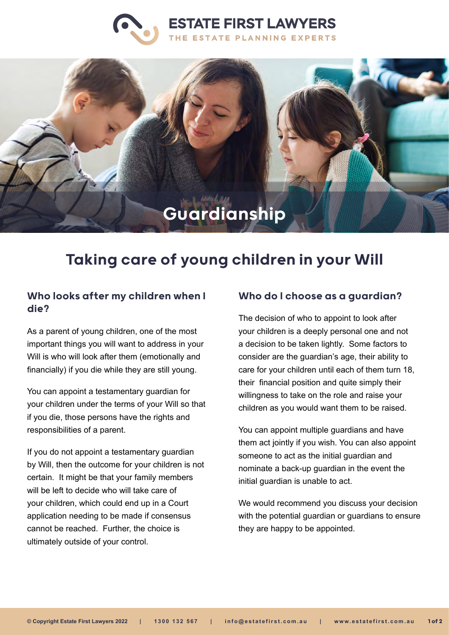



# Taking care of young children in your Will

## Who looks after my children when I die?

As a parent of young children, one of the most important things you will want to address in your Will is who will look after them (emotionally and financially) if you die while they are still young.

You can appoint a testamentary guardian for your children under the terms of your Will so that if you die, those persons have the rights and responsibilities of a parent.

If you do not appoint a testamentary guardian by Will, then the outcome for your children is not certain. It might be that your family members will be left to decide who will take care of your children, which could end up in a Court application needing to be made if consensus cannot be reached. Further, the choice is ultimately outside of your control.

#### Who do I choose as a guardian?

The decision of who to appoint to look after your children is a deeply personal one and not a decision to be taken lightly. Some factors to consider are the guardian's age, their ability to care for your children until each of them turn 18, their financial position and quite simply their willingness to take on the role and raise your children as you would want them to be raised.

You can appoint multiple guardians and have them act jointly if you wish. You can also appoint someone to act as the initial guardian and nominate a back-up guardian in the event the initial guardian is unable to act.

We would recommend you discuss your decision with the potential guardian or guardians to ensure they are happy to be appointed.